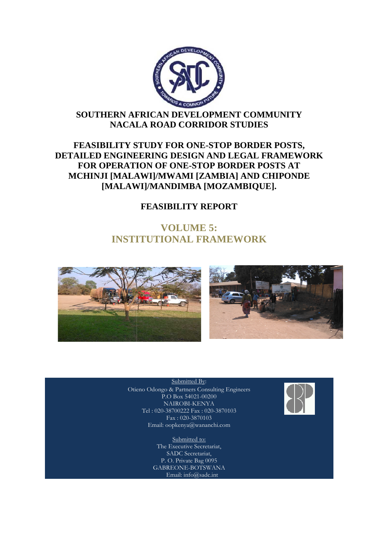

## **SOUTHERN AFRICAN DEVELOPMENT COMMUNITY NACALA ROAD CORRIDOR STUDIES**

## **FEASIBILITY STUDY FOR ONE ONE-STOP BORDER POSTS, DETAILED ENGINEERING DESIGN AND LEGAL FRAMEWORK FOR OPERATION OF ONE ONE-STOP BORDER POSTS AT MCHINJI [MALAWI]/MWAMI [ZAMBIA CHINJI [ZAMBIA] AND CHIPONDE ENGINEERING DESIGN AND LEGAL FRA<br>
DPERATION OF ONE-STOP BORDER POST<br>
JI [MALAWI]/MWAMI [ZAMBIA] AND CHI<br>
[MALAWI]/MANDIMBA [MOZAMBIQUE].**

## **FEASIBILITY REPORT**

# **INSTITUTIONAL FRAMEWORK VOLUME 5:**





Otieno Odongo & Partners Consulting Engineers Submitted By: P.O Box 54021-00200 NAIROBI-KENYA Tel : 020-38700222 Fax : 020-3870103 Fax : 020-3870103 Email: oopkenya@wananchi.com

> Submitted to: The Executive Secretariat, SADC Secretariat, P. O. Private Bag 0095 GABREONE-BOTSWANA Email: info@sadc.int

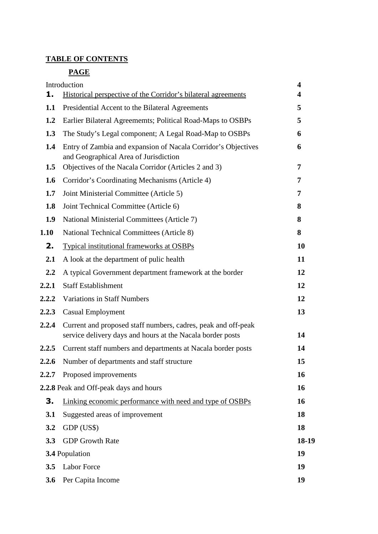## **TABLE OF CONTENTS**

## **PAGE**

| 1.               | Introduction<br>Historical perspective of the Corridor's bilateral agreements                                               | 4<br>4 |
|------------------|-----------------------------------------------------------------------------------------------------------------------------|--------|
| 1.1              | Presidential Accent to the Bilateral Agreements                                                                             | 5      |
| 1.2              | Earlier Bilateral Agreememts; Political Road-Maps to OSBPs                                                                  | 5      |
| 1.3              | The Study's Legal component; A Legal Road-Map to OSBPs                                                                      | 6      |
|                  |                                                                                                                             |        |
| 1.4              | Entry of Zambia and expansion of Nacala Corridor's Objectives<br>and Geographical Area of Jurisdiction                      | 6      |
| 1.5              | Objectives of the Nacala Corridor (Articles 2 and 3)                                                                        | 7      |
| 1.6              | Corridor's Coordinating Mechanisms (Article 4)                                                                              | 7      |
| 1.7              | Joint Ministerial Committee (Article 5)                                                                                     | 7      |
| 1.8              | Joint Technical Committee (Article 6)                                                                                       | 8      |
| 1.9              | National Ministerial Committees (Article 7)                                                                                 | 8      |
| 1.10             | National Technical Committees (Article 8)                                                                                   | 8      |
| 2.               | Typical institutional frameworks at OSBPs                                                                                   | 10     |
| 2.1              | A look at the department of pulic health                                                                                    | 11     |
| $2.2\phantom{0}$ | A typical Government department framework at the border                                                                     | 12     |
| 2.2.1            | <b>Staff Establishment</b>                                                                                                  | 12     |
| 2.2.2            | <b>Variations in Staff Numbers</b>                                                                                          | 12     |
| 2.2.3            | <b>Casual Employment</b>                                                                                                    | 13     |
| 2.2.4            | Current and proposed staff numbers, cadres, peak and off-peak<br>service delivery days and hours at the Nacala border posts | 14     |
| 2.2.5            | Current staff numbers and departments at Nacala border posts                                                                | 14     |
| 2.2.6            | Number of departments and staff structure                                                                                   | 15     |
| 2.2.7            | Proposed improvements                                                                                                       | 16     |
|                  | 2.2.8 Peak and Off-peak days and hours                                                                                      | 16     |
| З.               | Linking economic performance with need and type of OSBPs                                                                    | 16     |
| 3.1              | Suggested areas of improvement                                                                                              | 18     |
| 3.2              | GDP (US\$)                                                                                                                  | 18     |
| 3.3              | <b>GDP</b> Growth Rate                                                                                                      | 18-19  |
|                  | 3.4 Population                                                                                                              | 19     |
| 3.5              | Labor Force                                                                                                                 | 19     |
| 3.6              | Per Capita Income                                                                                                           | 19     |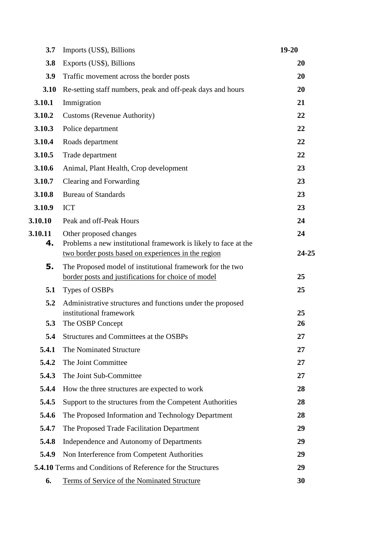| 3.7           | Imports (US\$), Billions                                                                                                                         | $19 - 20$   |
|---------------|--------------------------------------------------------------------------------------------------------------------------------------------------|-------------|
| 3.8           | Exports (US\$), Billions                                                                                                                         | 20          |
| 3.9           | Traffic movement across the border posts                                                                                                         | 20          |
| 3.10          | Re-setting staff numbers, peak and off-peak days and hours                                                                                       | 20          |
| 3.10.1        | Immigration                                                                                                                                      | 21          |
| 3.10.2        | Customs (Revenue Authority)                                                                                                                      | 22          |
| 3.10.3        | Police department                                                                                                                                | 22          |
| 3.10.4        | Roads department                                                                                                                                 | 22          |
| 3.10.5        | Trade department                                                                                                                                 | 22          |
| 3.10.6        | Animal, Plant Health, Crop development                                                                                                           | 23          |
| 3.10.7        | Clearing and Forwarding                                                                                                                          | 23          |
| 3.10.8        | <b>Bureau of Standards</b>                                                                                                                       | 23          |
| 3.10.9        | <b>ICT</b>                                                                                                                                       | 23          |
| 3.10.10       | Peak and off-Peak Hours                                                                                                                          | 24          |
| 3.10.11<br>4. | Other proposed changes<br>Problems a new institutional framework is likely to face at the<br>two border posts based on experiences in the region | 24<br>24-25 |
| 5.            | The Proposed model of institutional framework for the two<br>border posts and justifications for choice of model                                 | 25          |
| 5.1           | Types of OSBPs                                                                                                                                   | 25          |
| 5.2           | Administrative structures and functions under the proposed<br>institutional framework                                                            | 25          |
| 5.3           | The OSBP Concept                                                                                                                                 | 26          |
| 5.4           | Structures and Committees at the OSBPs                                                                                                           | 27          |
| 5.4.1         | The Nominated Structure                                                                                                                          | 27          |
| 5.4.2         | The Joint Committee                                                                                                                              | 27          |
| 5.4.3         | The Joint Sub-Committee                                                                                                                          | 27          |
| 5.4.4         | How the three structures are expected to work                                                                                                    | 28          |
| 5.4.5         | Support to the structures from the Competent Authorities                                                                                         | 28          |
| 5.4.6         | The Proposed Information and Technology Department                                                                                               | 28          |
| 5.4.7         | The Proposed Trade Facilitation Department                                                                                                       | 29          |
| 5.4.8         | Independence and Autonomy of Departments                                                                                                         | 29          |
| 5.4.9         | Non Interference from Competent Authorities                                                                                                      | 29          |
|               | <b>5.4.10</b> Terms and Conditions of Reference for the Structures                                                                               | 29          |
| 6.            | Terms of Service of the Nominated Structure                                                                                                      | 30          |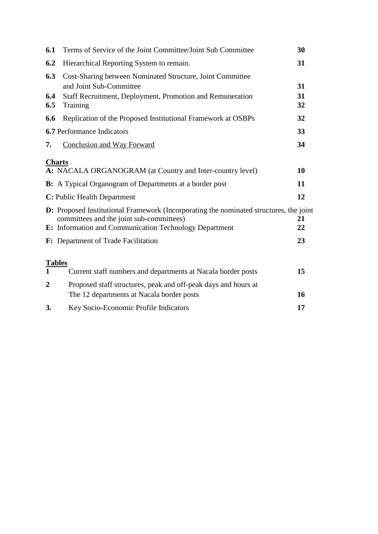| 6.1            | Terms of Service of the Joint Committee/Joint Sub Committee                                                                        | 30       |
|----------------|------------------------------------------------------------------------------------------------------------------------------------|----------|
| 6.2            | Hierarchical Reporting System to remain.                                                                                           | 31       |
| 6.3            | Cost-Sharing between Nominated Structure, Joint Committee                                                                          |          |
| 6.4            | and Joint Sub-Committee<br>Staff Recruitment, Deployment, Promotion and Remuneration                                               | 31<br>31 |
| 6.5            | Training                                                                                                                           | 32       |
| 6.6            | Replication of the Proposed Institutional Framework at OSBPs                                                                       | 32       |
|                | <b>6.7</b> Performance Indicators                                                                                                  | 33       |
| 7.             | <b>Conclusion and Way Forward</b>                                                                                                  | 34       |
|                | <b>Charts</b>                                                                                                                      |          |
|                | A: NACALA ORGANOGRAM (at Country and Inter-country level)                                                                          | 10       |
|                | <b>B:</b> A Typical Organogram of Departments at a border post                                                                     | 11       |
|                | C: Public Health Department                                                                                                        | 12       |
|                | D: Proposed Institutional Framework (Incorporating the nominated structures, the joint<br>committees and the joint sub-committees) | 21       |
|                | E: Information and Communication Technology Department                                                                             | 22       |
|                | F: Department of Trade Facilitation                                                                                                | 23       |
| <b>Tables</b>  |                                                                                                                                    |          |
| $\mathbf{1}$   | Current staff numbers and departments at Nacala border posts                                                                       | 15       |
| $\overline{2}$ | Proposed staff structures, peak and off-peak days and hours at                                                                     |          |
|                | The 12 departments at Nacala border posts                                                                                          | 16       |
| 3.             | Key Socio-Economic Profile Indicators                                                                                              | 17       |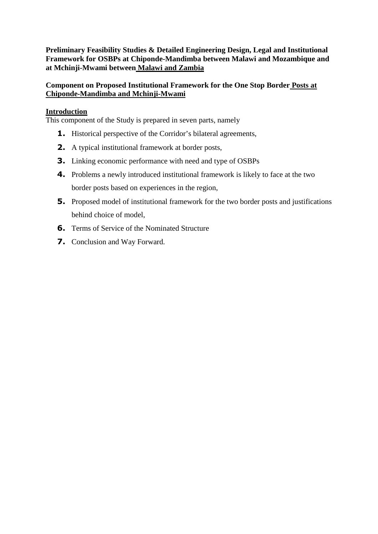**Preliminary Feasibility Studies & Detailed Engineering Design, Legal and Institutional Framework for OSBPs at Chiponde-Mandimba between Malawi and Mozambique and at Mchinji-Mwami between Malawi and Zambia** 

## **Component on Proposed Institutional Framework for the One Stop Border Posts at Chiponde-Mandimba and Mchinji-Mwami**

#### **Introduction**

This component of the Study is prepared in seven parts, namely

- **1.** Historical perspective of the Corridor's bilateral agreements,
- **2.** A typical institutional framework at border posts,
- **3.** Linking economic performance with need and type of OSBPs
- **4.** Problems a newly introduced institutional framework is likely to face at the two border posts based on experiences in the region,
- **5.** Proposed model of institutional framework for the two border posts and justifications behind choice of model,
- **6.** Terms of Service of the Nominated Structure
- **7.** Conclusion and Way Forward.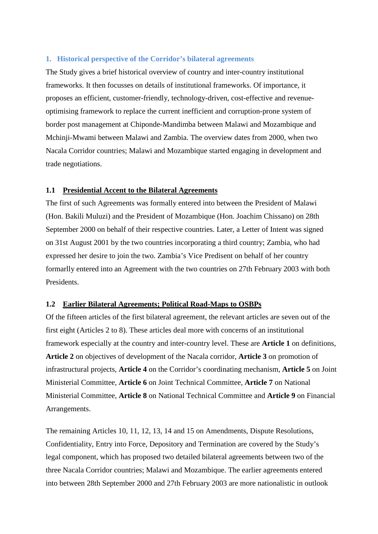#### **1. Historical perspective of the Corridor's bilateral agreements**

The Study gives a brief historical overview of country and inter-country institutional frameworks. It then focusses on details of institutional frameworks. Of importance, it proposes an efficient, customer-friendly, technology-driven, cost-effective and revenueoptimising framework to replace the current inefficient and corruption-prone system of border post management at Chiponde-Mandimba between Malawi and Mozambique and Mchinji-Mwami between Malawi and Zambia. The overview dates from 2000, when two Nacala Corridor countries; Malawi and Mozambique started engaging in development and trade negotiations.

#### **1.1 Presidential Accent to the Bilateral Agreements**

The first of such Agreements was formally entered into between the President of Malawi (Hon. Bakili Muluzi) and the President of Mozambique (Hon. Joachim Chissano) on 28th September 2000 on behalf of their respective countries. Later, a Letter of Intent was signed on 31st August 2001 by the two countries incorporating a third country; Zambia, who had expressed her desire to join the two. Zambia's Vice Predisent on behalf of her country formarlly entered into an Agreement with the two countries on 27th February 2003 with both Presidents.

#### **1.2 Earlier Bilateral Agreements; Political Road-Maps to OSBPs**

Of the fifteen articles of the first bilateral agreement, the relevant articles are seven out of the first eight (Articles 2 to 8). These articles deal more with concerns of an institutional framework especially at the country and inter-country level. These are **Article 1** on definitions, **Article 2** on objectives of development of the Nacala corridor, **Article 3** on promotion of infrastructural projects, **Article 4** on the Corridor's coordinating mechanism, **Article 5** on Joint Ministerial Committee, **Article 6** on Joint Technical Committee, **Article 7** on National Ministerial Committee, **Article 8** on National Technical Committee and **Article 9** on Financial Arrangements.

The remaining Articles 10, 11, 12, 13, 14 and 15 on Amendments, Dispute Resolutions, Confidentiality, Entry into Force, Depository and Termination are covered by the Study's legal component, which has proposed two detailed bilateral agreements between two of the three Nacala Corridor countries; Malawi and Mozambique. The earlier agreements entered into between 28th September 2000 and 27th February 2003 are more nationalistic in outlook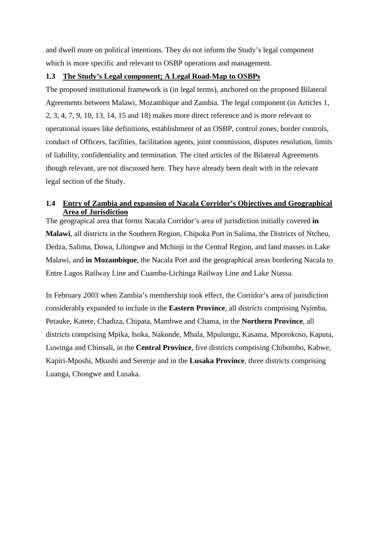and dwell more on political intentions. They do not inform the Study's legal component which is more specific and relevant to OSBP operations and management.

#### **1.3 The Study's Legal component; A Legal Road-Map to OSBPs**

The proposed institutional framework is (in legal terms), anchored on the proposed Bilateral Agreements between Malawi, Mozambique and Zambia. The legal component (in Articles 1, 2, 3, 4, 7, 9, 10, 13, 14, 15 and 18) makes more direct reference and is more relevant to operational issues like definitions, establishment of an OSBP, control zones, border controls, conduct of Officers, facilities, facilitation agents, joint commission, disputes resolution, limits of liability, confidentiality and termination. The cited articles of the Bilateral Agreements though relevant, are not discussed here. They have already been dealt with in the relevant legal section of the Study.

#### **1.4 Entry of Zambia and expansion of Nacala Corridor's Objectives and Geographical Area of Jurisdiction**

The geograpical area that forms Nacala Corridor's area of jurisdiction initially covered **in Malawi**, all districts in the Southern Region, Chipoka Port in Salima, the Districts of Ntcheu, Dedza, Salima, Dowa, Lilongwe and Mchinji in the Central Region, and land masses in Lake Malawi, and **in Mozambique**, the Nacala Port and the geographical areas bordering Nacala to Entre Lagos Railway Line and Cuamba-Lichinga Railway Line and Lake Niassa.

In February 2003 when Zambia's membership took effect, the Corridor's area of jurisdiction considerably expanded to include in the **Eastern Province**, all districts comprising Nyimba, Petauke, Katete, Chadiza, Chipata, Mambwe and Chama, in the **Northern Province**, all districts comprising Mpika, Isoka, Nakonde, Mbala, Mpulungu, Kasama, Mporokoso, Kaputa, Luwinga and Chinsali, in the **Central Province**, five districts comprising Chibombo, Kabwe, Kapiri-Mposhi, Mkushi and Serenje and in the **Lusaka Province**, three districts comprising Luanga, Chongwe and Lusaka.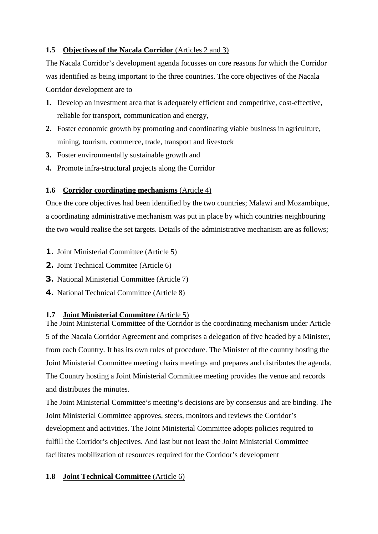## **1.5 Objectives of the Nacala Corridor** (Articles 2 and 3)

The Nacala Corridor's development agenda focusses on core reasons for which the Corridor was identified as being important to the three countries. The core objectives of the Nacala Corridor development are to

- **1.** Develop an investment area that is adequately efficient and competitive, cost-effective, reliable for transport, communication and energy,
- **2.** Foster economic growth by promoting and coordinating viable business in agriculture, mining, tourism, commerce, trade, transport and livestock
- **3.** Foster environmentally sustainable growth and
- **4.** Promote infra-structural projects along the Corridor

## **1.6 Corridor coordinating mechanisms** (Article 4)

Once the core objectives had been identified by the two countries; Malawi and Mozambique, a coordinating administrative mechanism was put in place by which countries neighbouring the two would realise the set targets. Details of the administrative mechanism are as follows;

- **1.** Joint Ministerial Committee (Article 5)
- **2.** Joint Technical Commitee (Article 6)
- **3.** National Ministerial Committee (Article 7)
- **4.** National Technical Committee (Article 8)

#### **1.7 Joint Ministerial Committee** (Article 5)

The Joint Ministerial Committee of the Corridor is the coordinating mechanism under Article 5 of the Nacala Corridor Agreement and comprises a delegation of five headed by a Minister, from each Country. It has its own rules of procedure. The Minister of the country hosting the Joint Ministerial Committee meeting chairs meetings and prepares and distributes the agenda. The Country hosting a Joint Ministerial Committee meeting provides the venue and records and distributes the minutes.

The Joint Ministerial Committee's meeting's decisions are by consensus and are binding. The Joint Ministerial Committee approves, steers, monitors and reviews the Corridor's development and activities. The Joint Ministerial Committee adopts policies required to fulfill the Corridor's objectives. And last but not least the Joint Ministerial Committee facilitates mobilization of resources required for the Corridor's development

#### **1.8 Joint Technical Committee** (Article 6)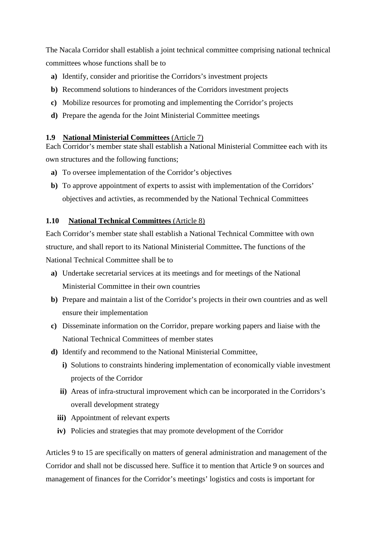The Nacala Corridor shall establish a joint technical committee comprising national technical committees whose functions shall be to

- **a)** Identify, consider and prioritise the Corridors's investment projects
- **b)** Recommend solutions to hinderances of the Corridors investment projects
- **c)** Mobilize resources for promoting and implementing the Corridor's projects
- **d)** Prepare the agenda for the Joint Ministerial Committee meetings

#### **1.9 National Ministerial Committees** (Article 7)

Each Corridor's member state shall establish a National Ministerial Committee each with its own structures and the following functions;

- **a)** To oversee implementation of the Corridor's objectives
- **b)** To approve appointment of experts to assist with implementation of the Corridors' objectives and activties, as recommended by the National Technical Committees

#### **1.10 National Technical Committees** (Article 8)

Each Corridor's member state shall establish a National Technical Committee with own structure, and shall report to its National Ministerial Committee**.** The functions of the National Technical Committee shall be to

- **a)** Undertake secretarial services at its meetings and for meetings of the National Ministerial Committee in their own countries
- **b)** Prepare and maintain a list of the Corridor's projects in their own countries and as well ensure their implementation
- **c)** Disseminate information on the Corridor, prepare working papers and liaise with the National Technical Committees of member states
- **d)** Identify and recommend to the National Ministerial Committee,
	- **i)** Solutions to constraints hindering implementation of economically viable investment projects of the Corridor
	- **ii)** Areas of infra-structural improvement which can be incorporated in the Corridors's overall development strategy
	- **iii)** Appointment of relevant experts
	- **iv)** Policies and strategies that may promote development of the Corridor

Articles 9 to 15 are specifically on matters of general administration and management of the Corridor and shall not be discussed here. Suffice it to mention that Article 9 on sources and management of finances for the Corridor's meetings' logistics and costs is important for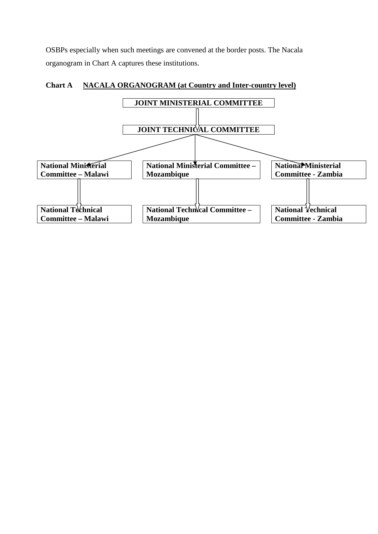OSBPs especially when such meetings are convened at the border posts. The Nacala organogram in Chart A captures these institutions.



### **Chart A NACALA ORGANOGRAM (at Country and Inter-country level)**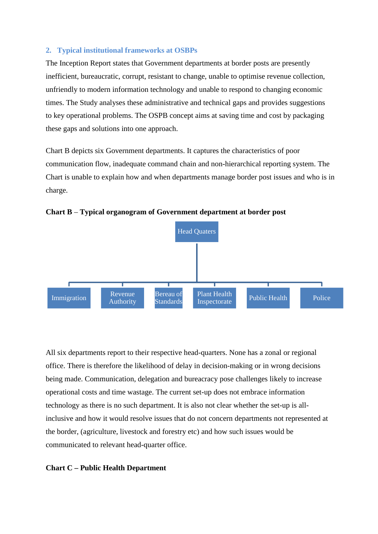#### **2. Typical institutional frameworks at OSBPs**

The Inception Report states that Government departments at border posts are presently inefficient, bureaucratic, corrupt, resistant to change, unable to optimise revenue collection, unfriendly to modern information technology and unable to respond to changing economic times. The Study analyses these administrative and technical gaps and provides suggestions to key operational problems. The OSPB concept aims at saving time and cost by packaging these gaps and solutions into one approach.

Chart B depicts six Government departments. It captures the characteristics of poor communication flow, inadequate command chain and non-hierarchical reporting system. The Chart is unable to explain how and when departments manage border post issues and who is in charge.





All six departments report to their respective head-quarters. None has a zonal or regional office. There is therefore the likelihood of delay in decision-making or in wrong decisions being made. Communication, delegation and bureacracy pose challenges likely to increase operational costs and time wastage. The current set-up does not embrace information technology as there is no such department. It is also not clear whether the set-up is allinclusive and how it would resolve issues that do not concern departments not represented at the border, (agriculture, livestock and forestry etc) and how such issues would be communicated to relevant head-quarter office.

#### **Chart C – Public Health Department**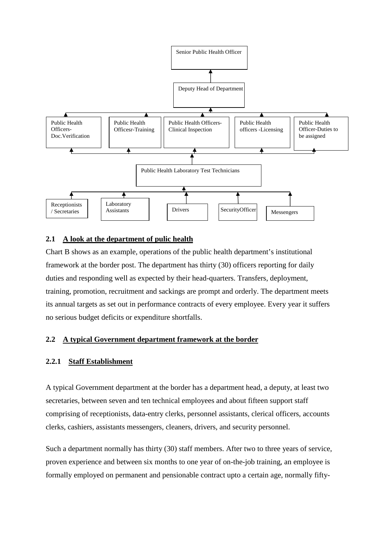

#### **2.1 A look at the department of pulic health**

Chart B shows as an example, operations of the public health department's institutional framework at the border post. The department has thirty (30) officers reporting for daily duties and responding well as expected by their head-quarters. Transfers, deployment, training, promotion, recruitment and sackings are prompt and orderly. The department meets its annual targets as set out in performance contracts of every employee. Every year it suffers no serious budget deficits or expenditure shortfalls.

#### **2.2 A typical Government department framework at the border**

#### **2.2.1 Staff Establishment**

A typical Government department at the border has a department head, a deputy, at least two secretaries, between seven and ten technical employees and about fifteen support staff comprising of receptionists, data-entry clerks, personnel assistants, clerical officers, accounts clerks, cashiers, assistants messengers, cleaners, drivers, and security personnel.

Such a department normally has thirty (30) staff members. After two to three years of service, proven experience and between six months to one year of on-the-job training, an employee is formally employed on permanent and pensionable contract upto a certain age, normally fifty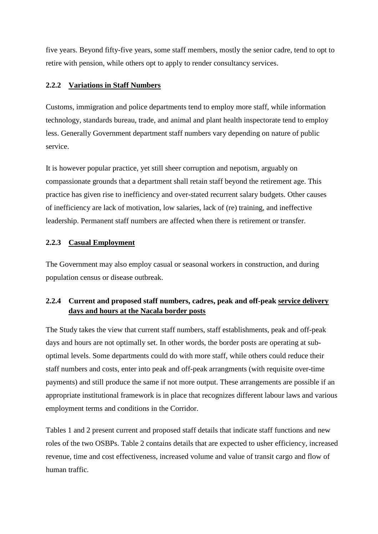five years. Beyond fifty-five years, some staff members, mostly the senior cadre, tend to opt to retire with pension, while others opt to apply to render consultancy services.

## **2.2.2 Variations in Staff Numbers**

Customs, immigration and police departments tend to employ more staff, while information technology, standards bureau, trade, and animal and plant health inspectorate tend to employ less. Generally Government department staff numbers vary depending on nature of public service.

It is however popular practice, yet still sheer corruption and nepotism, arguably on compassionate grounds that a department shall retain staff beyond the retirement age. This practice has given rise to inefficiency and over-stated recurrent salary budgets. Other causes of inefficiency are lack of motivation, low salaries, lack of (re) training, and ineffective leadership. Permanent staff numbers are affected when there is retirement or transfer.

## **2.2.3 Casual Employment**

The Government may also employ casual or seasonal workers in construction, and during population census or disease outbreak.

## **2.2.4 Current and proposed staff numbers, cadres, peak and off-peak service delivery days and hours at the Nacala border posts**

The Study takes the view that current staff numbers, staff establishments, peak and off-peak days and hours are not optimally set. In other words, the border posts are operating at suboptimal levels. Some departments could do with more staff, while others could reduce their staff numbers and costs, enter into peak and off-peak arrangments (with requisite over-time payments) and still produce the same if not more output. These arrangements are possible if an appropriate institutional framework is in place that recognizes different labour laws and various employment terms and conditions in the Corridor.

Tables 1 and 2 present current and proposed staff details that indicate staff functions and new roles of the two OSBPs. Table 2 contains details that are expected to usher efficiency, increased revenue, time and cost effectiveness, increased volume and value of transit cargo and flow of human traffic.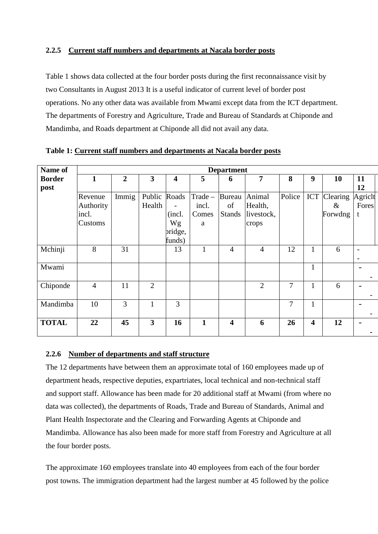#### **2.2.5 Current staff numbers and departments at Nacala border posts**

Table 1 shows data collected at the four border posts during the first reconnaissance visit by two Consultants in August 2013 It is a useful indicator of current level of border post operations. No any other data was available from Mwami except data from the ICT department. The departments of Forestry and Agriculture, Trade and Bureau of Standards at Chiponde and Mandimba, and Roads department at Chiponde all did not avail any data.

| Name of               | <b>Department</b>                        |                |                  |                                                                         |                                |                               |                                          |        |                         |                             |                      |  |
|-----------------------|------------------------------------------|----------------|------------------|-------------------------------------------------------------------------|--------------------------------|-------------------------------|------------------------------------------|--------|-------------------------|-----------------------------|----------------------|--|
| <b>Border</b><br>post | $\mathbf{1}$                             | $\overline{2}$ | 3                | $\overline{\mathbf{4}}$                                                 | 5                              | 6                             | 7                                        | 8      | 9                       | <b>10</b>                   | 11<br>12             |  |
|                       | Revenue<br>Authority<br>incl.<br>Customs | Immig          | Public<br>Health | Roads<br>$\overline{\phantom{a}}$<br>(incl.)<br>Wg<br>pridge,<br>funds) | Trade -<br>incl.<br>Comes<br>a | Bureau<br>of<br><b>Stands</b> | Animal<br>Health,<br>livestock,<br>crops | Police | <b>ICT</b>              | Clearing<br>$\&$<br>Forwdng | Agrich<br>Fores<br>t |  |
| Mchinji               | 8                                        | 31             |                  | 13                                                                      | $\mathbf{1}$                   | $\overline{4}$                | $\overline{4}$                           | 12     | $\mathbf{1}$            | 6                           |                      |  |
| Mwami                 |                                          |                |                  |                                                                         |                                |                               |                                          |        | $\mathbf{1}$            |                             |                      |  |
| Chiponde              | $\overline{4}$                           | 11             | $\overline{2}$   |                                                                         |                                |                               | $\overline{2}$                           | 7      | 1                       | 6                           |                      |  |
| Mandimba              | 10                                       | 3              | 1                | 3                                                                       |                                |                               |                                          | 7      | 1                       |                             |                      |  |
| <b>TOTAL</b>          | 22                                       | 45             | 3                | 16                                                                      | $\mathbf{1}$                   | $\overline{\mathbf{4}}$       | 6                                        | 26     | $\overline{\mathbf{4}}$ | 12                          |                      |  |

**Table 1: Current staff numbers and departments at Nacala border posts**

## **2.2.6 Number of departments and staff structure**

The 12 departments have between them an approximate total of 160 employees made up of department heads, respective deputies, expartriates, local technical and non-technical staff and support staff. Allowance has been made for 20 additional staff at Mwami (from where no data was collected), the departments of Roads, Trade and Bureau of Standards, Animal and Plant Health Inspectorate and the Clearing and Forwarding Agents at Chiponde and Mandimba. Allowance has also been made for more staff from Forestry and Agriculture at all the four border posts.

The approximate 160 employees translate into 40 employees from each of the four border post towns. The immigration department had the largest number at 45 followed by the police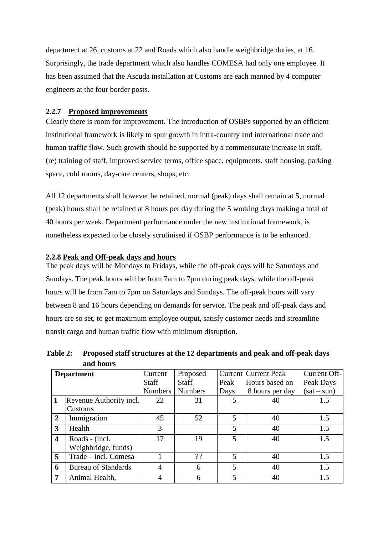department at 26, customs at 22 and Roads which also handle weighbridge duties, at 16. Surprisingly, the trade department which also handles COMESA had only one employee. It has been assumed that the Ascuda installation at Customs are each manned by 4 computer engineers at the four border posts.

#### **2.2.7 Proposed improvements**

Clearly there is room for improvement. The introduction of OSBPs supported by an efficient institutional framework is likely to spur growth in intra-country and international trade and human traffic flow. Such growth should be supported by a commensurate increase in staff, (re) training of staff, improved service terms, office space, equipments, staff housing, parking space, cold rooms, day-care centers, shops, etc.

All 12 departments shall however be retained, normal (peak) days shall remain at 5, normal (peak) hours shall be retained at 8 hours per day during the 5 working days making a total of 40 hours per week. Department performance under the new institutional framework, is nonetheless expected to be closely scrutinised if OSBP performance is to be enhanced.

#### **2.2.8 Peak and Off-peak days and hours**

The peak days will be Mondays to Fridays, while the off-peak days will be Saturdays and Sundays. The peak hours will be from 7am to 7pm during peak days, while the off-peak hours will be from 7am to 7pm on Saturdays and Sundays. The off-peak hours will vary between 8 and 16 hours depending on demands for service. The peak and off-peak days and hours are so set, to get maximum employee output, satisfy customer needs and streamline transit cargo and human traffic flow with minimum disruption.

**Table 2: Proposed staff structures at the 12 departments and peak and off-peak days and hours** 

|                         | <b>Department</b>          | Current        | Proposed               |                        | <b>Current Current Peak</b> | Current Off-  |
|-------------------------|----------------------------|----------------|------------------------|------------------------|-----------------------------|---------------|
|                         |                            | <b>Staff</b>   | <b>Staff</b>           | Hours based on<br>Peak |                             | Peak Days     |
|                         |                            | <b>Numbers</b> | <b>Numbers</b><br>Days |                        | 8 hours per day             | $(sat - sun)$ |
|                         | Revenue Authority incl.    | 22             | 31                     |                        | 40                          | 1.5           |
|                         | Customs                    |                |                        |                        |                             |               |
| $\overline{2}$          | Immigration                | 45             | 52                     | 5                      | 40                          | 1.5           |
| 3                       | Health                     | 3              |                        | 5                      | 40                          | 1.5           |
| $\overline{\mathbf{4}}$ | Roads - (incl.             | 17             | 19                     | 5                      | 40                          | 1.5           |
|                         | Weighbridge, funds)        |                |                        |                        |                             |               |
| 5                       | Trade – incl. Comesa       |                | ??                     | 5                      | 40                          | 1.5           |
| 6                       | <b>Bureau of Standards</b> | 4              | 6                      | 5                      | 40                          | 1.5           |
|                         | Animal Health,             | 4              | 6                      | 5                      | 40                          | 1.5           |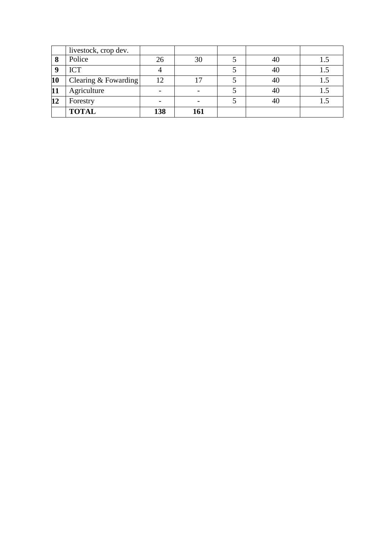|    | livestock, crop dev.   |                |     |  |  |
|----|------------------------|----------------|-----|--|--|
| 8  | Police                 | 26             | 30  |  |  |
|    | <b>ICT</b>             |                |     |  |  |
| 10 | Clearing $&$ Fowarding | $\overline{2}$ |     |  |  |
| 11 | Agriculture            |                |     |  |  |
| 12 | Forestry               |                |     |  |  |
|    | <b>TOTAL</b>           | 138            | 161 |  |  |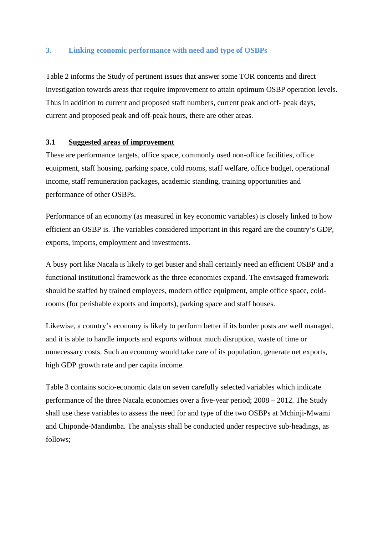#### **3. Linking economic performance with need and type of OSBPs**

Table 2 informs the Study of pertinent issues that answer some TOR concerns and direct investigation towards areas that require improvement to attain optimum OSBP operation levels. Thus in addition to current and proposed staff numbers, current peak and off- peak days, current and proposed peak and off-peak hours, there are other areas.

#### **3.1 Suggested areas of improvement**

These are performance targets, office space, commonly used non-office facilities, office equipment, staff housing, parking space, cold rooms, staff welfare, office budget, operational income, staff remuneration packages, academic standing, training opportunities and performance of other OSBPs.

Performance of an economy (as measured in key economic variables) is closely linked to how efficient an OSBP is. The variables considered important in this regard are the country's GDP, exports, imports, employment and investments.

A busy port like Nacala is likely to get busier and shall certainly need an efficient OSBP and a functional institutional framework as the three economies expand. The envisaged framework should be staffed by trained employees, modern office equipment, ample office space, coldrooms (for perishable exports and imports), parking space and staff houses.

Likewise, a country's economy is likely to perform better if its border posts are well managed, and it is able to handle imports and exports without much disruption, waste of time or unnecessary costs. Such an economy would take care of its population, generate net exports, high GDP growth rate and per capita income.

Table 3 contains socio-economic data on seven carefully selected variables which indicate performance of the three Nacala economies over a five-year period; 2008 – 2012. The Study shall use these variables to assess the need for and type of the two OSBPs at Mchinji-Mwami and Chiponde-Mandimba. The analysis shall be conducted under respective sub-headings, as follows;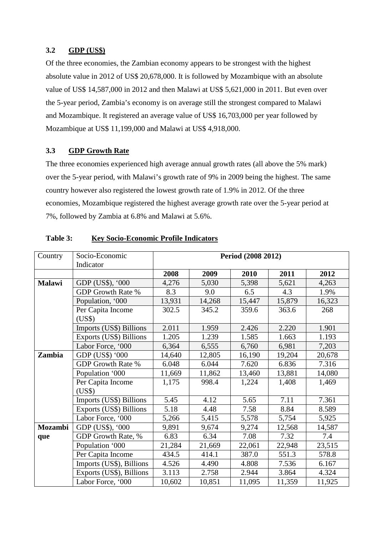#### **3.2 GDP (US\$)**

Of the three economies, the Zambian economy appears to be strongest with the highest absolute value in 2012 of US\$ 20,678,000. It is followed by Mozambique with an absolute value of US\$ 14,587,000 in 2012 and then Malawi at US\$ 5,621,000 in 2011. But even over the 5-year period, Zambia's economy is on average still the strongest compared to Malawi and Mozambique. It registered an average value of US\$ 16,703,000 per year followed by Mozambique at US\$ 11,199,000 and Malawi at US\$ 4,918,000.

#### **3.3 GDP Growth Rate**

The three economies experienced high average annual growth rates (all above the 5% mark) over the 5-year period, with Malawi's growth rate of 9% in 2009 being the highest. The same country however also registered the lowest growth rate of 1.9% in 2012. Of the three economies, Mozambique registered the highest average growth rate over the 5-year period at 7%, followed by Zambia at 6.8% and Malawi at 5.6%.

| Country       | Socio-Economic              | Period (2008 2012) |        |        |        |        |  |  |  |
|---------------|-----------------------------|--------------------|--------|--------|--------|--------|--|--|--|
|               | Indicator                   |                    |        |        |        |        |  |  |  |
|               |                             | 2008               | 2009   | 2010   | 2011   | 2012   |  |  |  |
| <b>Malawi</b> | GDP (US\$), '000            | 4,276              | 5,030  | 5,398  | 5,621  | 4,263  |  |  |  |
|               | <b>GDP Growth Rate %</b>    | 8.3                | 9.0    | 6.5    | 4.3    | 1.9%   |  |  |  |
|               | Population, '000            | 13,931             | 14,268 | 15,447 | 15,879 | 16,323 |  |  |  |
|               | Per Capita Income<br>(US\$) | 302.5              | 345.2  | 359.6  | 363.6  | 268    |  |  |  |
|               | Imports (US\$) Billions     | 2.011              | 1.959  | 2.426  | 2.220  | 1.901  |  |  |  |
|               | Exports (US\$) Billions     | 1.205              | 1.239  | 1.585  | 1.663  | 1.193  |  |  |  |
|               | Labor Force, '000           | 6,364              | 6,555  | 6,760  | 6,981  | 7,203  |  |  |  |
| Zambia        | GDP (US\$) '000             | 14,640             | 12,805 | 16,190 | 19,204 | 20,678 |  |  |  |
|               | <b>GDP Growth Rate %</b>    | 6.048              | 6.044  | 7.620  | 6.836  | 7.316  |  |  |  |
|               | Population '000             | 11,669             | 11,862 | 13,460 | 13,881 | 14,080 |  |  |  |
|               | Per Capita Income<br>(US\$) | 1,175              | 998.4  | 1,224  | 1,408  | 1,469  |  |  |  |
|               | Imports (US\$) Billions     | 5.45               | 4.12   | 5.65   | 7.11   | 7.361  |  |  |  |
|               | Exports (US\$) Billions     | 5.18               | 4.48   | 7.58   | 8.84   | 8.589  |  |  |  |
|               | Labor Force, '000           | 5,266              | 5,415  | 5,578  | 5,754  | 5,925  |  |  |  |
| Mozambi       | GDP (US\$), '000            | 9,891              | 9,674  | 9,274  | 12,568 | 14,587 |  |  |  |
| que           | GDP Growth Rate, %          | 6.83               | 6.34   | 7.08   | 7.32   | 7.4    |  |  |  |
|               | Population '000             | 21,284             | 21,669 | 22,061 | 22,948 | 23,515 |  |  |  |
|               | Per Capita Income           | 434.5              | 414.1  | 387.0  | 551.3  | 578.8  |  |  |  |
|               | Imports (US\$), Billions    | 4.526              | 4.490  | 4.808  | 7.536  | 6.167  |  |  |  |
|               | Exports (US\$), Billions    | 3.113              | 2.758  | 2.944  | 3.864  | 4.324  |  |  |  |
|               | Labor Force, '000           | 10,602             | 10,851 | 11,095 | 11,359 | 11,925 |  |  |  |

#### **Table 3: Key Socio-Economic Profile Indicators**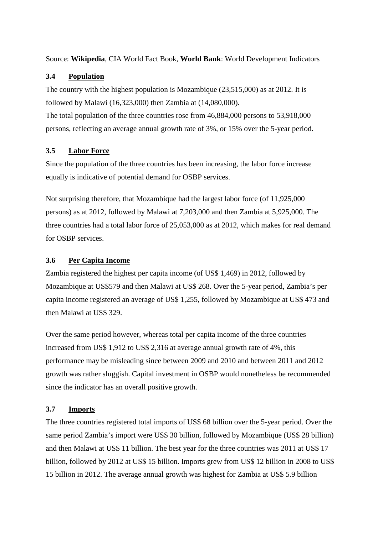Source: **Wikipedia**, CIA World Fact Book, **World Bank**: World Development Indicators

### **3.4 Population**

The country with the highest population is Mozambique (23,515,000) as at 2012. It is followed by Malawi (16,323,000) then Zambia at (14,080,000).

The total population of the three countries rose from 46,884,000 persons to 53,918,000 persons, reflecting an average annual growth rate of 3%, or 15% over the 5-year period.

## **3.5 Labor Force**

Since the population of the three countries has been increasing, the labor force increase equally is indicative of potential demand for OSBP services.

Not surprising therefore, that Mozambique had the largest labor force (of 11,925,000 persons) as at 2012, followed by Malawi at 7,203,000 and then Zambia at 5,925,000. The three countries had a total labor force of 25,053,000 as at 2012, which makes for real demand for OSBP services.

## **3.6 Per Capita Income**

Zambia registered the highest per capita income (of US\$ 1,469) in 2012, followed by Mozambique at US\$579 and then Malawi at US\$ 268. Over the 5-year period, Zambia's per capita income registered an average of US\$ 1,255, followed by Mozambique at US\$ 473 and then Malawi at US\$ 329.

Over the same period however, whereas total per capita income of the three countries increased from US\$ 1,912 to US\$ 2,316 at average annual growth rate of 4%, this performance may be misleading since between 2009 and 2010 and between 2011 and 2012 growth was rather sluggish. Capital investment in OSBP would nonetheless be recommended since the indicator has an overall positive growth.

## **3.7 Imports**

The three countries registered total imports of US\$ 68 billion over the 5-year period. Over the same period Zambia's import were US\$ 30 billion, followed by Mozambique (US\$ 28 billion) and then Malawi at US\$ 11 billion. The best year for the three countries was 2011 at US\$ 17 billion, followed by 2012 at US\$ 15 billion. Imports grew from US\$ 12 billion in 2008 to US\$ 15 billion in 2012. The average annual growth was highest for Zambia at US\$ 5.9 billion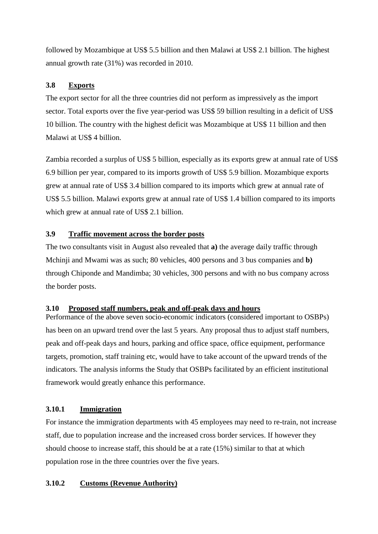followed by Mozambique at US\$ 5.5 billion and then Malawi at US\$ 2.1 billion. The highest annual growth rate (31%) was recorded in 2010.

## **3.8 Exports**

The export sector for all the three countries did not perform as impressively as the import sector. Total exports over the five year-period was US\$ 59 billion resulting in a deficit of US\$ 10 billion. The country with the highest deficit was Mozambique at US\$ 11 billion and then Malawi at US\$ 4 billion.

Zambia recorded a surplus of US\$ 5 billion, especially as its exports grew at annual rate of US\$ 6.9 billion per year, compared to its imports growth of US\$ 5.9 billion. Mozambique exports grew at annual rate of US\$ 3.4 billion compared to its imports which grew at annual rate of US\$ 5.5 billion. Malawi exports grew at annual rate of US\$ 1.4 billion compared to its imports which grew at annual rate of US\$ 2.1 billion.

## **3.9 Traffic movement across the border posts**

The two consultants visit in August also revealed that **a)** the average daily traffic through Mchinji and Mwami was as such; 80 vehicles, 400 persons and 3 bus companies and **b)** through Chiponde and Mandimba; 30 vehicles, 300 persons and with no bus company across the border posts.

#### **3.10 Proposed staff numbers, peak and off-peak days and hours**

Performance of the above seven socio-economic indicators (considered important to OSBPs) has been on an upward trend over the last 5 years. Any proposal thus to adjust staff numbers, peak and off-peak days and hours, parking and office space, office equipment, performance targets, promotion, staff training etc, would have to take account of the upward trends of the indicators. The analysis informs the Study that OSBPs facilitated by an efficient institutional framework would greatly enhance this performance.

## **3.10.1 Immigration**

For instance the immigration departments with 45 employees may need to re-train, not increase staff, due to population increase and the increased cross border services. If however they should choose to increase staff, this should be at a rate (15%) similar to that at which population rose in the three countries over the five years.

## **3.10.2 Customs (Revenue Authority)**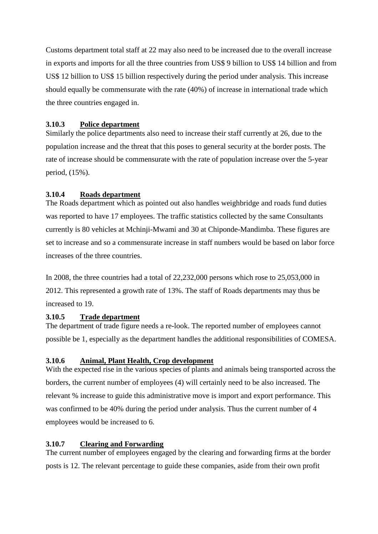Customs department total staff at 22 may also need to be increased due to the overall increase in exports and imports for all the three countries from US\$ 9 billion to US\$ 14 billion and from US\$ 12 billion to US\$ 15 billion respectively during the period under analysis. This increase should equally be commensurate with the rate (40%) of increase in international trade which the three countries engaged in.

### **3.10.3 Police department**

Similarly the police departments also need to increase their staff currently at 26, due to the population increase and the threat that this poses to general security at the border posts. The rate of increase should be commensurate with the rate of population increase over the 5-year period, (15%).

## **3.10.4 Roads department**

The Roads department which as pointed out also handles weighbridge and roads fund duties was reported to have 17 employees. The traffic statistics collected by the same Consultants currently is 80 vehicles at Mchinji-Mwami and 30 at Chiponde-Mandimba. These figures are set to increase and so a commensurate increase in staff numbers would be based on labor force increases of the three countries.

In 2008, the three countries had a total of 22,232,000 persons which rose to 25,053,000 in 2012. This represented a growth rate of 13%. The staff of Roads departments may thus be increased to 19.

## **3.10.5 Trade department**

The department of trade figure needs a re-look. The reported number of employees cannot possible be 1, especially as the department handles the additional responsibilities of COMESA.

#### **3.10.6 Animal, Plant Health, Crop development**

With the expected rise in the various species of plants and animals being transported across the borders, the current number of employees (4) will certainly need to be also increased. The relevant % increase to guide this administrative move is import and export performance. This was confirmed to be 40% during the period under analysis. Thus the current number of 4 employees would be increased to 6.

## **3.10.7 Clearing and Forwarding**

The current number of employees engaged by the clearing and forwarding firms at the border posts is 12. The relevant percentage to guide these companies, aside from their own profit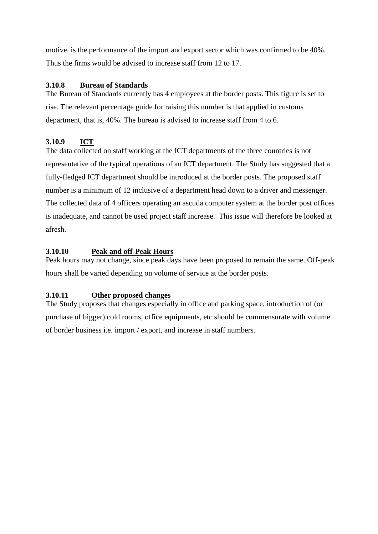motive, is the performance of the import and export sector which was confirmed to be 40%. Thus the firms would be advised to increase staff from 12 to 17.

## **3.10.8 Bureau of Standards**

The Bureau of Standards currently has 4 employees at the border posts. This figure is set to rise. The relevant percentage guide for raising this number is that applied in customs department, that is, 40%. The bureau is advised to increase staff from 4 to 6.

## **3.10.9 ICT**

The data collected on staff working at the ICT departments of the three countries is not representative of the typical operations of an ICT department. The Study has suggested that a fully-fledged ICT department should be introduced at the border posts. The proposed staff number is a minimum of 12 inclusive of a department head down to a driver and messenger. The collected data of 4 officers operating an ascuda computer system at the border post offices is inadequate, and cannot be used project staff increase. This issue will therefore be looked at afresh.

## **3.10.10 Peak and off-Peak Hours**

Peak hours may not change, since peak days have been proposed to remain the same. Off-peak hours shall be varied depending on volume of service at the border posts.

## **3.10.11 Other proposed changes**

The Study proposes that changes especially in office and parking space, introduction of (or purchase of bigger) cold rooms, office equipments, etc should be commensurate with volume of border business i.e. import / export, and increase in staff numbers.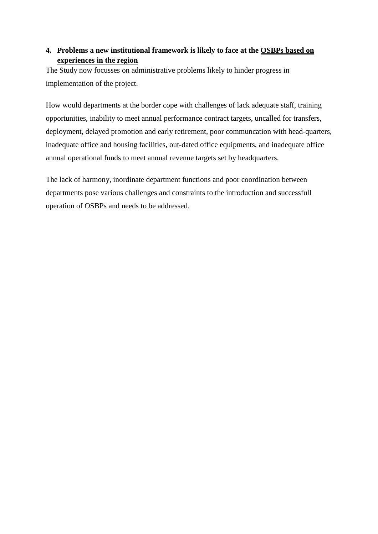## **4. Problems a new institutional framework is likely to face at the OSBPs based on experiences in the region**

The Study now focusses on administrative problems likely to hinder progress in implementation of the project.

How would departments at the border cope with challenges of lack adequate staff, training opportunities, inability to meet annual performance contract targets, uncalled for transfers, deployment, delayed promotion and early retirement, poor communcation with head-quarters, inadequate office and housing facilities, out-dated office equipments, and inadequate office annual operational funds to meet annual revenue targets set by headquarters.

The lack of harmony, inordinate department functions and poor coordination between departments pose various challenges and constraints to the introduction and successfull operation of OSBPs and needs to be addressed.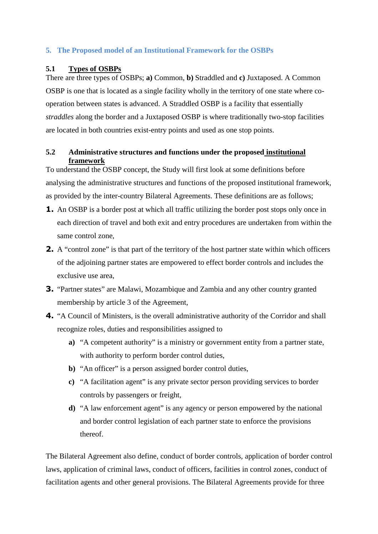## **5. The Proposed model of an Institutional Framework for the OSBPs**

### **5.1 Types of OSBPs**

There are three types of OSBPs; **a)** Common, **b)** Straddled and **c)** Juxtaposed. A Common OSBP is one that is located as a single facility wholly in the territory of one state where cooperation between states is advanced. A Straddled OSBP is a facility that essentially *straddles* along the border and a Juxtaposed OSBP is where traditionally two-stop facilities are located in both countries exist-entry points and used as one stop points.

## **5.2 Administrative structures and functions under the proposed institutional framework**

To understand the OSBP concept, the Study will first look at some definitions before analysing the administrative structures and functions of the proposed institutional framework, as provided by the inter-country Bilateral Agreements. These definitions are as follows;

- **1.** An OSBP is a border post at which all traffic utilizing the border post stops only once in each direction of travel and both exit and entry procedures are undertaken from within the same control zone,
- **2.** A "control zone" is that part of the territory of the host partner state within which officers of the adjoining partner states are empowered to effect border controls and includes the exclusive use area,
- **3.** "Partner states" are Malawi, Mozambique and Zambia and any other country granted membership by article 3 of the Agreement,
- **4.** "A Council of Ministers, is the overall administrative authority of the Corridor and shall recognize roles, duties and responsibilities assigned to
	- **a)** "A competent authority" is a ministry or government entity from a partner state, with authority to perform border control duties,
	- **b**) "An officer" is a person assigned border control duties,
	- **c)** "A facilitation agent" is any private sector person providing services to border controls by passengers or freight,
	- **d)** "A law enforcement agent" is any agency or person empowered by the national and border control legislation of each partner state to enforce the provisions thereof.

The Bilateral Agreement also define, conduct of border controls, application of border control laws, application of criminal laws, conduct of officers, facilities in control zones, conduct of facilitation agents and other general provisions. The Bilateral Agreements provide for three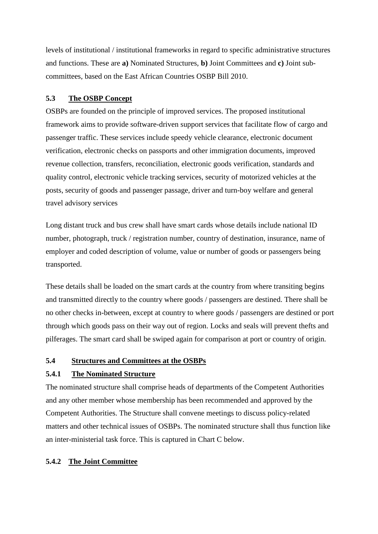levels of institutional / institutional frameworks in regard to specific administrative structures and functions. These are **a)** Nominated Structures, **b)** Joint Committees and **c)** Joint subcommittees, based on the East African Countries OSBP Bill 2010.

#### **5.3 The OSBP Concept**

OSBPs are founded on the principle of improved services. The proposed institutional framework aims to provide software-driven support services that facilitate flow of cargo and passenger traffic. These services include speedy vehicle clearance, electronic document verification, electronic checks on passports and other immigration documents, improved revenue collection, transfers, reconciliation, electronic goods verification, standards and quality control, electronic vehicle tracking services, security of motorized vehicles at the posts, security of goods and passenger passage, driver and turn-boy welfare and general travel advisory services

Long distant truck and bus crew shall have smart cards whose details include national ID number, photograph, truck / registration number, country of destination, insurance, name of employer and coded description of volume, value or number of goods or passengers being transported.

These details shall be loaded on the smart cards at the country from where transiting begins and transmitted directly to the country where goods / passengers are destined. There shall be no other checks in-between, except at country to where goods / passengers are destined or port through which goods pass on their way out of region. Locks and seals will prevent thefts and pilferages. The smart card shall be swiped again for comparison at port or country of origin.

#### **5.4 Structures and Committees at the OSBPs**

#### **5.4.1 The Nominated Structure**

The nominated structure shall comprise heads of departments of the Competent Authorities and any other member whose membership has been recommended and approved by the Competent Authorities. The Structure shall convene meetings to discuss policy-related matters and other technical issues of OSBPs. The nominated structure shall thus function like an inter-ministerial task force. This is captured in Chart C below.

#### **5.4.2 The Joint Committee**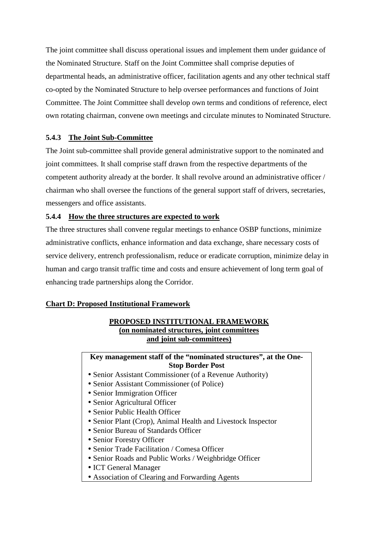The joint committee shall discuss operational issues and implement them under guidance of the Nominated Structure. Staff on the Joint Committee shall comprise deputies of departmental heads, an administrative officer, facilitation agents and any other technical staff co-opted by the Nominated Structure to help oversee performances and functions of Joint Committee. The Joint Committee shall develop own terms and conditions of reference, elect own rotating chairman, convene own meetings and circulate minutes to Nominated Structure.

## **5.4.3 The Joint Sub-Committee**

The Joint sub-committee shall provide general administrative support to the nominated and joint committees. It shall comprise staff drawn from the respective departments of the competent authority already at the border. It shall revolve around an administrative officer / chairman who shall oversee the functions of the general support staff of drivers, secretaries, messengers and office assistants.

#### **5.4.4 How the three structures are expected to work**

The three structures shall convene regular meetings to enhance OSBP functions, minimize administrative conflicts, enhance information and data exchange, share necessary costs of service delivery, entrench professionalism, reduce or eradicate corruption, minimize delay in human and cargo transit traffic time and costs and ensure achievement of long term goal of enhancing trade partnerships along the Corridor.

#### **Chart D: Proposed Institutional Framework**

#### **PROPOSED INSTITUTIONAL FRAMEWORK (on nominated structures, joint committees and joint sub-committees)**

**Key management staff of the "nominated structures", at the One-Stop Border Post** 

- Senior Assistant Commissioner (of a Revenue Authority)
- Senior Assistant Commissioner (of Police)
- Senior Immigration Officer
- Senior Agricultural Officer
- Senior Public Health Officer
- Senior Plant (Crop), Animal Health and Livestock Inspector
- Senior Bureau of Standards Officer
- Senior Forestry Officer
- Senior Trade Facilitation / Comesa Officer
- Senior Roads and Public Works / Weighbridge Officer
- ICT General Manager
- Association of Clearing and Forwarding Agents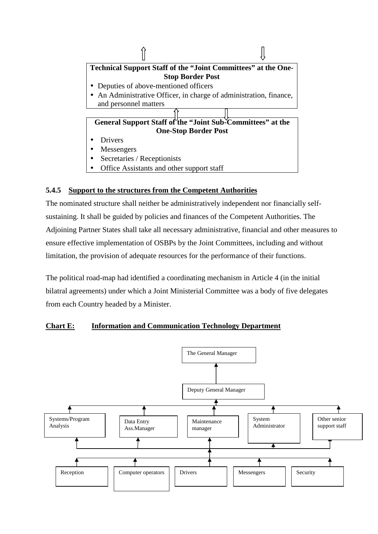

## **5.4.5 Support to the structures from the Competent Authorities**

The nominated structure shall neither be administratively independent nor financially selfsustaining. It shall be guided by policies and finances of the Competent Authorities. The Adjoining Partner States shall take all necessary administrative, financial and other measures to ensure effective implementation of OSBPs by the Joint Committees, including and without limitation, the provision of adequate resources for the performance of their functions.

The political road-map had identified a coordinating mechanism in Article 4 (in the initial bilatral agreements) under which a Joint Ministerial Committee was a body of five delegates from each Country headed by a Minister.

## **Chart E: Information and Communication Technology Department**

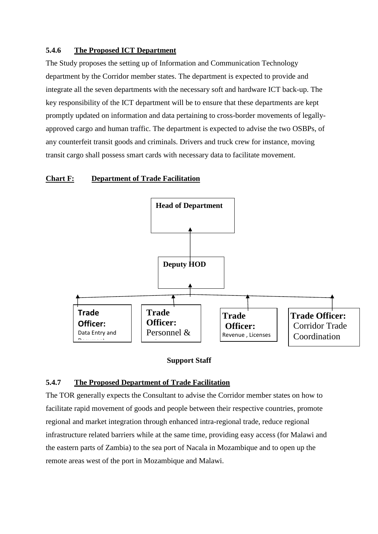#### **5.4.6 The Proposed ICT Department**

The Study proposes the setting up of Information and Communication Technology department by the Corridor member states. The department is expected to provide and integrate all the seven departments with the necessary soft and hardware ICT back-up. The key responsibility of the ICT department will be to ensure that these departments are kept promptly updated on information and data pertaining to cross-border movements of legallyapproved cargo and human traffic. The department is expected to advise the two OSBPs, of any counterfeit transit goods and criminals. Drivers and truck crew for instance, moving transit cargo shall possess smart cards with necessary data to facilitate movement.

#### **Chart F: Department of Trade Facilitation**



#### **Support Staff**

#### **5.4.7 The Proposed Department of Trade Facilitation**

The TOR generally expects the Consultant to advise the Corridor member states on how to facilitate rapid movement of goods and people between their respective countries, promote regional and market integration through enhanced intra-regional trade, reduce regional infrastructure related barriers while at the same time, providing easy access (for Malawi and the eastern parts of Zambia) to the sea port of Nacala in Mozambique and to open up the remote areas west of the port in Mozambique and Malawi.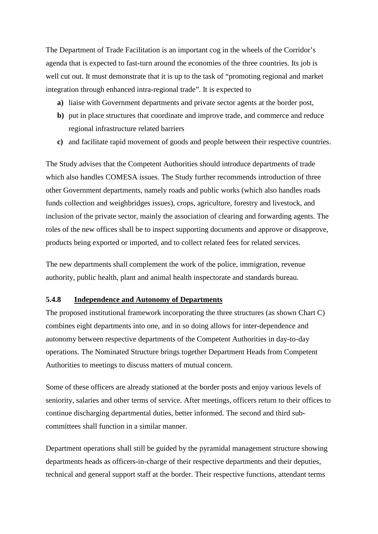The Department of Trade Facilitation is an important cog in the wheels of the Corridor's agenda that is expected to fast-turn around the economies of the three countries. Its job is well cut out. It must demonstrate that it is up to the task of "promoting regional and market integration through enhanced intra-regional trade". It is expected to

- **a)** liaise with Government departments and private sector agents at the border post,
- **b**) put in place structures that coordinate and improve trade, and commerce and reduce regional infrastructure related barriers
- **c)** and facilitate rapid movement of goods and people between their respective countries.

The Study advises that the Competent Authorities should introduce departments of trade which also handles COMESA issues. The Study further recommends introduction of three other Government departments, namely roads and public works (which also handles roads funds collection and weighbridges issues), crops, agriculture, forestry and livestock, and inclusion of the private sector, mainly the association of clearing and forwarding agents. The roles of the new offices shall be to inspect supporting documents and approve or disapprove, products being exported or imported, and to collect related fees for related services.

The new departments shall complement the work of the police, immigration, revenue authority, public health, plant and animal health inspectorate and standards bureau.

#### **5.4.8 Independence and Autonomy of Departments**

The proposed institutional framework incorporating the three structures (as shown Chart C) combines eight departments into one, and in so doing allows for inter-dependence and autonomy between respective departments of the Competent Authorities in day-to-day operations. The Nominated Structure brings together Department Heads from Competent Authorities to meetings to discuss matters of mutual concern.

Some of these officers are already stationed at the border posts and enjoy various levels of seniority, salaries and other terms of service. After meetings, officers return to their offices to continue discharging departmental duties, better informed. The second and third subcommittees shall function in a similar manner.

Department operations shall still be guided by the pyramidal management structure showing departments heads as officers-in-charge of their respective departments and their deputies, technical and general support staff at the border. Their respective functions, attendant terms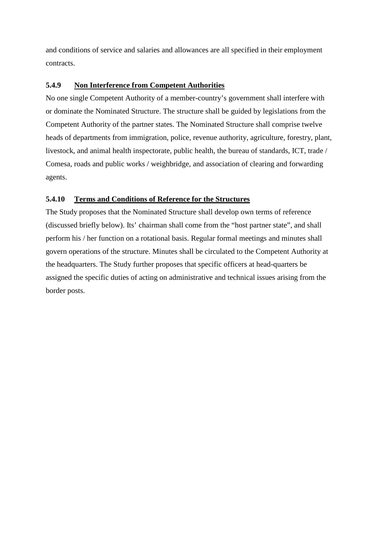and conditions of service and salaries and allowances are all specified in their employment contracts.

#### **5.4.9 Non Interference from Competent Authorities**

No one single Competent Authority of a member-country's government shall interfere with or dominate the Nominated Structure. The structure shall be guided by legislations from the Competent Authority of the partner states. The Nominated Structure shall comprise twelve heads of departments from immigration, police, revenue authority, agriculture, forestry, plant, livestock, and animal health inspectorate, public health, the bureau of standards, ICT, trade / Comesa, roads and public works / weighbridge, and association of clearing and forwarding agents.

## **5.4.10 Terms and Conditions of Reference for the Structures**

The Study proposes that the Nominated Structure shall develop own terms of reference (discussed briefly below). Its' chairman shall come from the "host partner state", and shall perform his / her function on a rotational basis. Regular formal meetings and minutes shall govern operations of the structure. Minutes shall be circulated to the Competent Authority at the headquarters. The Study further proposes that specific officers at head-quarters be assigned the specific duties of acting on administrative and technical issues arising from the border posts.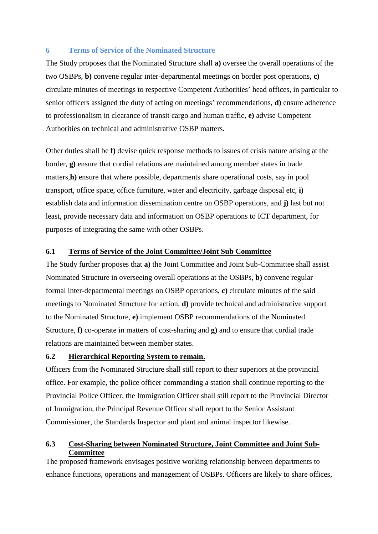#### **6 Terms of Service of the Nominated Structure**

The Study proposes that the Nominated Structure shall **a)** oversee the overall operations of the two OSBPs, **b)** convene regular inter-departmental meetings on border post operations, **c)**  circulate minutes of meetings to respective Competent Authorities' head offices, in particular to senior officers assigned the duty of acting on meetings' recommendations, **d)** ensure adherence to professionalism in clearance of transit cargo and human traffic, **e)** advise Competent Authorities on technical and administrative OSBP matters.

Other duties shall be **f)** devise quick response methods to issues of crisis nature arising at the border, **g)** ensure that cordial relations are maintained among member states in trade matters,**h**) ensure that where possible, departments share operational costs, say in pool transport, office space, office furniture, water and electricity, garbage disposal etc, **i)**  establish data and information dissemination centre on OSBP operations, and **j)** last but not least, provide necessary data and information on OSBP operations to ICT department, for purposes of integrating the same with other OSBPs.

#### **6.1 Terms of Service of the Joint Committee/Joint Sub Committee**

The Study further proposes that **a)** the Joint Committee and Joint Sub-Committee shall assist Nominated Structure in overseeing overall operations at the OSBPs, **b)** convene regular formal inter-departmental meetings on OSBP operations, **c)** circulate minutes of the said meetings to Nominated Structure for action, **d)** provide technical and administrative support to the Nominated Structure, **e)** implement OSBP recommendations of the Nominated Structure, **f)** co-operate in matters of cost-sharing and **g)** and to ensure that cordial trade relations are maintained between member states.

#### **6.2 Hierarchical Reporting System to remain.**

Officers from the Nominated Structure shall still report to their superiors at the provincial office. For example, the police officer commanding a station shall continue reporting to the Provincial Police Officer, the Immigration Officer shall still report to the Provincial Director of Immigration, the Principal Revenue Officer shall report to the Senior Assistant Commissioner, the Standards Inspector and plant and animal inspector likewise.

#### **6.3 Cost-Sharing between Nominated Structure, Joint Committee and Joint Sub-Committee**

The proposed framework envisages positive working relationship between departments to enhance functions, operations and management of OSBPs. Officers are likely to share offices,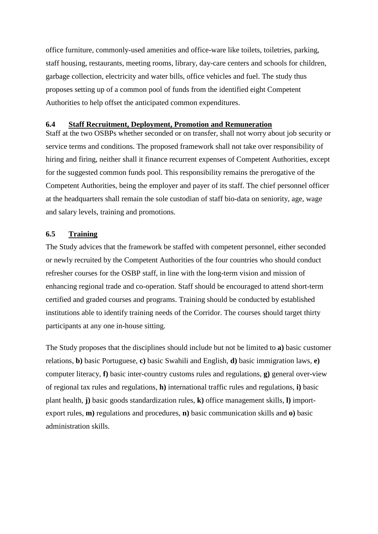office furniture, commonly-used amenities and office-ware like toilets, toiletries, parking, staff housing, restaurants, meeting rooms, library, day-care centers and schools for children, garbage collection, electricity and water bills, office vehicles and fuel. The study thus proposes setting up of a common pool of funds from the identified eight Competent Authorities to help offset the anticipated common expenditures.

#### **6.4 Staff Recruitment, Deployment, Promotion and Remuneration**

Staff at the two OSBPs whether seconded or on transfer, shall not worry about job security or service terms and conditions. The proposed framework shall not take over responsibility of hiring and firing, neither shall it finance recurrent expenses of Competent Authorities, except for the suggested common funds pool. This responsibility remains the prerogative of the Competent Authorities, being the employer and payer of its staff. The chief personnel officer at the headquarters shall remain the sole custodian of staff bio-data on seniority, age, wage and salary levels, training and promotions.

#### **6.5 Training**

The Study advices that the framework be staffed with competent personnel, either seconded or newly recruited by the Competent Authorities of the four countries who should conduct refresher courses for the OSBP staff, in line with the long-term vision and mission of enhancing regional trade and co-operation. Staff should be encouraged to attend short-term certified and graded courses and programs. Training should be conducted by established institutions able to identify training needs of the Corridor. The courses should target thirty participants at any one in-house sitting.

The Study proposes that the disciplines should include but not be limited to **a)** basic customer relations, **b)** basic Portuguese, **c)** basic Swahili and English, **d)** basic immigration laws, **e)**  computer literacy, **f)** basic inter-country customs rules and regulations, **g)** general over-view of regional tax rules and regulations, **h)** international traffic rules and regulations, **i)** basic plant health, **j)** basic goods standardization rules, **k)** office management skills, **l)** importexport rules, **m)** regulations and procedures, **n)** basic communication skills and **o)** basic administration skills.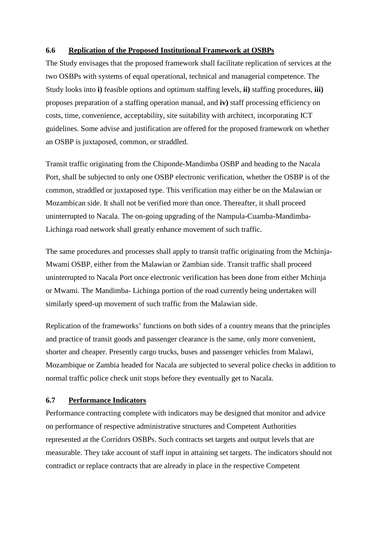#### **6.6 Replication of the Proposed Institutional Framework at OSBPs**

The Study envisages that the proposed framework shall facilitate replication of services at the two OSBPs with systems of equal operational, technical and managerial competence. The Study looks into **i)** feasible options and optimum staffing levels, **ii)** staffing procedures, **iii)** proposes preparation of a staffing operation manual, and **iv)** staff processing efficiency on costs, time, convenience, acceptability, site suitability with architect, incorporating ICT guidelines. Some advise and justification are offered for the proposed framework on whether an OSBP is juxtaposed, common, or straddled.

Transit traffic originating from the Chiponde-Mandimba OSBP and heading to the Nacala Port, shall be subjected to only one OSBP electronic verification, whether the OSBP is of the common, straddled or juxtaposed type. This verification may either be on the Malawian or Mozambican side. It shall not be verified more than once. Thereafter, it shall proceed uninterrupted to Nacala. The on-going upgrading of the Nampula-Cuamba-Mandimba-Lichinga road network shall greatly enhance movement of such traffic.

The same procedures and processes shall apply to transit traffic originating from the Mchinja-Mwami OSBP, either from the Malawian or Zambian side. Transit traffic shall proceed uninterrupted to Nacala Port once electronic verification has been done from either Mchinja or Mwami. The Mandimba- Lichinga portion of the road currently being undertaken will similarly speed-up movement of such traffic from the Malawian side.

Replication of the frameworks' functions on both sides of a country means that the principles and practice of transit goods and passenger clearance is the same, only more convenient, shorter and cheaper. Presently cargo trucks, buses and passenger vehicles from Malawi, Mozambique or Zambia headed for Nacala are subjected to several police checks in addition to normal traffic police check unit stops before they eventually get to Nacala.

#### **6.7 Performance Indicators**

Performance contracting complete with indicators may be designed that monitor and advice on performance of respective administrative structures and Competent Authorities represented at the Corridors OSBPs. Such contracts set targets and output levels that are measurable. They take account of staff input in attaining set targets. The indicators should not contradict or replace contracts that are already in place in the respective Competent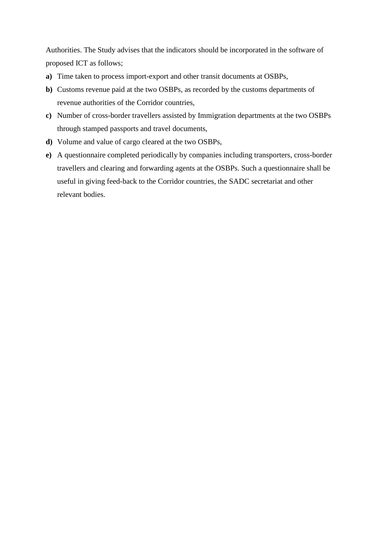Authorities. The Study advises that the indicators should be incorporated in the software of proposed ICT as follows;

- **a)** Time taken to process import-export and other transit documents at OSBPs,
- **b)** Customs revenue paid at the two OSBPs, as recorded by the customs departments of revenue authorities of the Corridor countries,
- **c)** Number of cross-border travellers assisted by Immigration departments at the two OSBPs through stamped passports and travel documents,
- **d)** Volume and value of cargo cleared at the two OSBPs,
- **e)** A questionnaire completed periodically by companies including transporters, cross-border travellers and clearing and forwarding agents at the OSBPs. Such a questionnaire shall be useful in giving feed-back to the Corridor countries, the SADC secretariat and other relevant bodies.